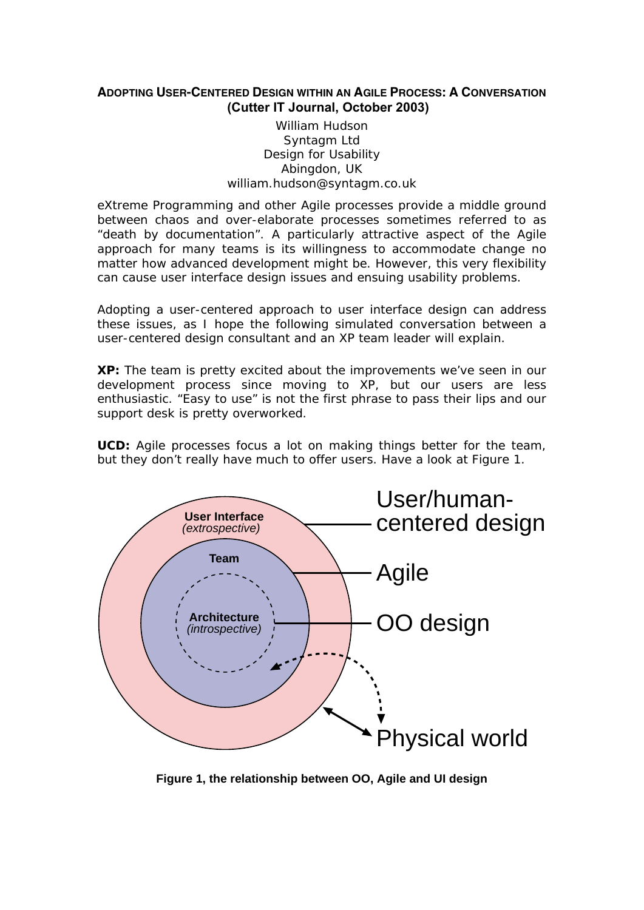## **ADOPTING USER-CENTERED DESIGN WITHIN AN AGILE PROCESS: A CONVERSATION (Cutter IT Journal, October 2003)**

## William Hudson Syntagm Ltd Design for Usability Abingdon, UK william.hudson@syntagm.co.uk

eXtreme Programming and other Agile processes provide a middle ground between chaos and over-elaborate processes sometimes referred to as "death by documentation". A particularly attractive aspect of the Agile approach for many teams is its willingness to accommodate change no matter how advanced development might be. However, this very flexibility can cause user interface design issues and ensuing usability problems.

Adopting a user-centered approach to user interface design can address these issues, as I hope the following simulated conversation between a user-centered design consultant and an XP team leader will explain.

**XP:** The team is pretty excited about the improvements we've seen in our development process since moving to XP, but our users are less enthusiastic. "Easy to use" is not the first phrase to pass their lips and our support desk is pretty overworked.

**UCD:** Agile processes focus a lot on making things better for the team, but they don't really have much to offer users. Have a look at [Figure 1.](#page-0-0)



<span id="page-0-0"></span>**Figure 1, the relationship between OO, Agile and UI design**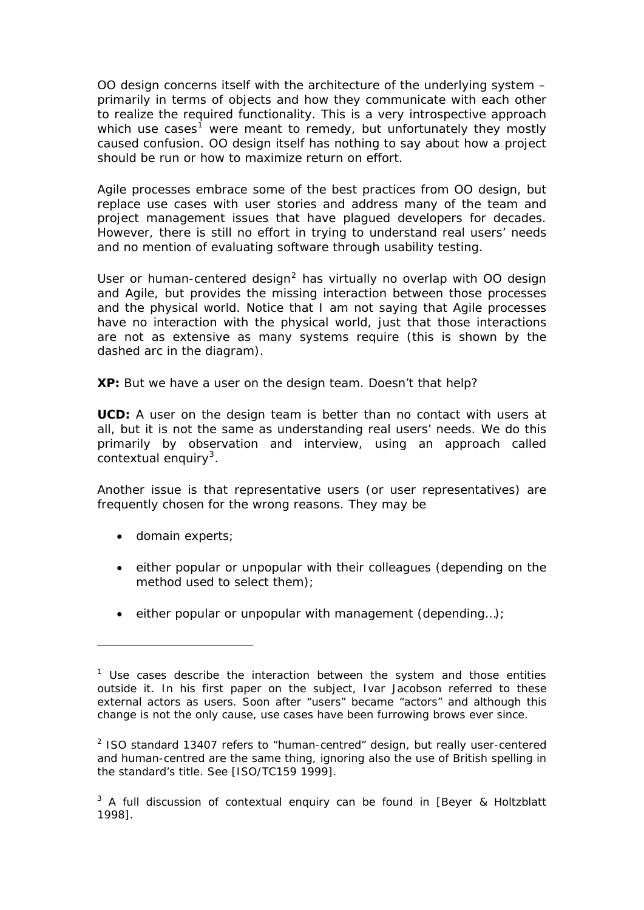OO design concerns itself with the architecture of the underlying system – primarily in terms of objects and how they communicate with each other to realize the required functionality. This is a very introspective approach which *use cases<sup>[1](#page-1-0)</sup>* were meant to remedy, but unfortunately they mostly caused confusion. OO design itself has nothing to say about how a project should be run or how to maximize return on effort.

Agile processes embrace some of the best practices from OO design, but replace use cases with user stories and address many of the team and project management issues that have plagued developers for decades. However, there is still no effort in trying to understand real users' needs and no mention of evaluating software through usability testing.

User or human-centered design<sup>[2](#page-1-1)</sup> has virtually no overlap with OO design and Agile, but provides the missing interaction between those processes and the physical world. Notice that I am not saying that Agile processes have no interaction with the physical world, just that those interactions are not as extensive as many systems require (this is shown by the dashed arc in the diagram).

**XP:** But we have a user on the design team. Doesn't that help?

**UCD:** A user on the design team is better than no contact with users at all, but it is not the same as understanding real users' needs. We do this primarily by observation and interview, using an approach called *contextual enquiry[3](#page-1-2)* .

Another issue is that representative users (or user representatives) are frequently chosen for the wrong reasons. They may be

• domain experts;

- either popular or unpopular with their colleagues (depending on the method used to select them);
- either popular or unpopular with management (depending…);

<span id="page-1-0"></span><sup>&</sup>lt;sup>1</sup> Use cases describe the interaction between the system and those entities outside it. In his first paper on the subject, Ivar Jacobson referred to these external actors as users. Soon after "users" became "actors" and although this change is not the only cause, use cases have been furrowing brows ever since.

<span id="page-1-1"></span> $2$  ISO standard 13407 refers to "human-centred" design, but really user-centered and human-centred are the same thing, ignoring also the use of British spelling in the standard's title. See [ISO/TC159 1999].

<span id="page-1-2"></span> $3$  A full discussion of contextual enquiry can be found in [Beyer & Holtzblatt 1998].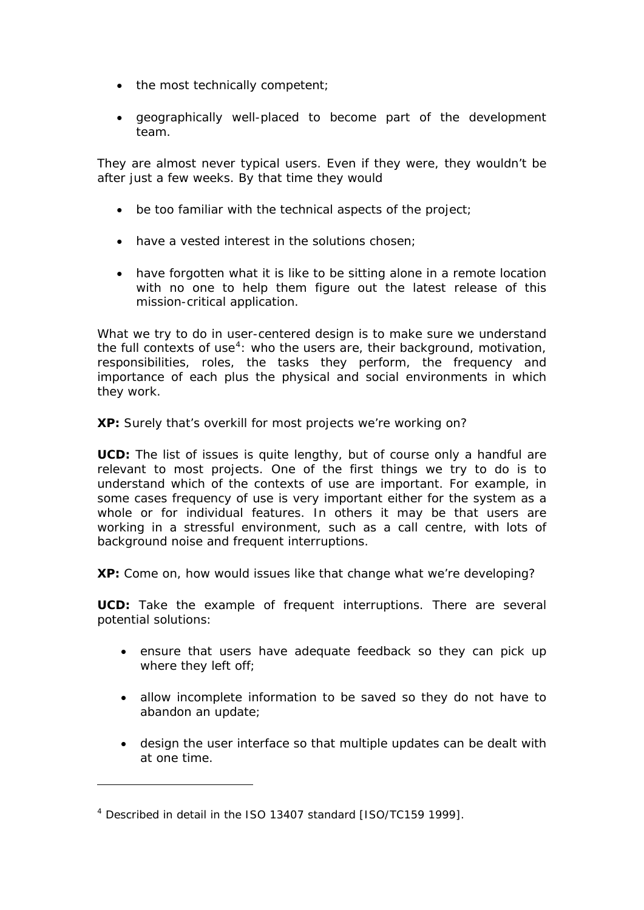- the most technically competent;
- geographically well-placed to become part of the development team.

They are almost never typical users. Even if they were, they wouldn't be after just a few weeks. By that time they would

- be too familiar with the technical aspects of the project;
- have a vested interest in the solutions chosen;
- have forgotten what it is like to be sitting alone in a remote location with no one to help them figure out the latest release of this mission-critical application.

What we try to do in user-centered design is to make sure we understand the full *contexts of use[4](#page-2-0)* : who the users are, their background, motivation, responsibilities, roles, the tasks they perform, the frequency and importance of each plus the physical and social environments in which they work.

**XP:** Surely that's overkill for most projects we're working on?

**UCD:** The list of issues is quite lengthy, but of course only a handful are relevant to most projects. One of the first things we try to do is to understand which of the contexts of use are important. For example, in some cases frequency of use is very important either for the system as a whole or for individual features. In others it may be that users are working in a stressful environment, such as a call centre, with lots of background noise and frequent interruptions.

**XP:** Come on, how would issues like that change what we're developing?

**UCD:** Take the example of frequent interruptions. There are several potential solutions:

- ensure that users have adequate feedback so they can pick up where they left off;
- allow incomplete information to be saved so they do not have to abandon an update;
- design the user interface so that multiple updates can be dealt with at one time.

<span id="page-2-0"></span><sup>4</sup> Described in detail in the ISO 13407 standard [ISO/TC159 1999].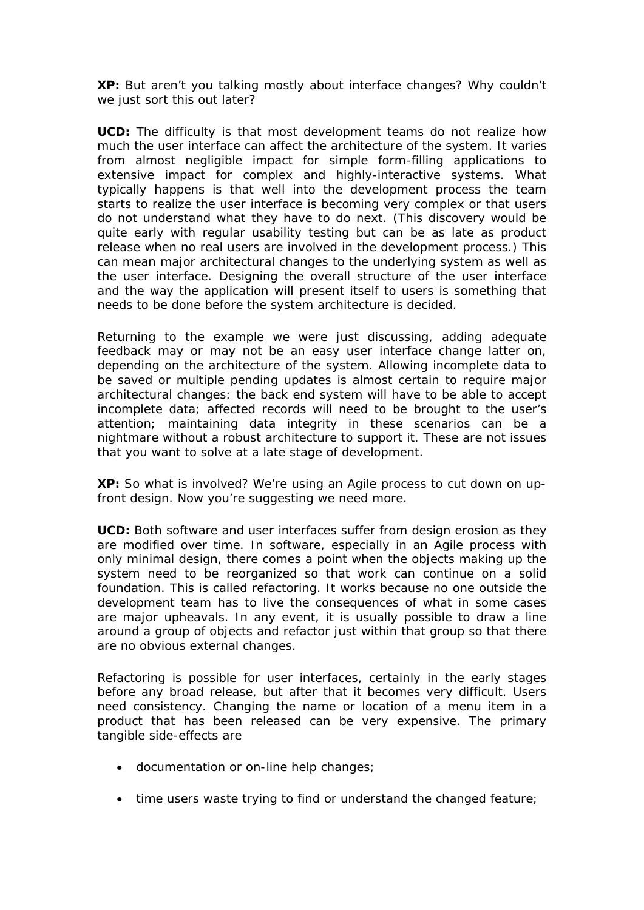**XP:** But aren't you talking mostly about interface changes? Why couldn't we just sort this out later?

**UCD:** The difficulty is that most development teams do not realize how much the user interface can affect the architecture of the system. It varies from almost negligible impact for simple form-filling applications to extensive impact for complex and highly-interactive systems. What typically happens is that well into the development process the team starts to realize the user interface is becoming very complex or that users do not understand what they have to do next. (This discovery would be quite early with regular usability testing but can be as late as product release when no real users are involved in the development process.) This can mean major architectural changes to the underlying system as well as the user interface. Designing the overall structure of the user interface and the way the application will present itself to users is something that needs to be done before the system architecture is decided.

Returning to the example we were just discussing, adding adequate feedback may or may not be an easy user interface change latter on, depending on the architecture of the system. Allowing incomplete data to be saved or multiple pending updates is almost certain to require major architectural changes: the back end system will have to be able to accept incomplete data; affected records will need to be brought to the user's attention; maintaining data integrity in these scenarios can be a nightmare without a robust architecture to support it. These are not issues that you want to solve at a late stage of development.

**XP:** So what is involved? We're using an Agile process to cut down on upfront design. Now you're suggesting we need more.

**UCD:** Both software and user interfaces suffer from design erosion as they are modified over time. In software, especially in an Agile process with only minimal design, there comes a point when the objects making up the system need to be reorganized so that work can continue on a solid foundation. This is called refactoring. It works because no one outside the development team has to live the consequences of what in some cases are major upheavals. In any event, it is usually possible to draw a line around a group of objects and refactor just within that group so that there are no obvious external changes.

Refactoring is possible for user interfaces, certainly in the early stages before any broad release, but after that it becomes very difficult. Users need consistency. Changing the name or location of a menu item in a product that has been released can be very expensive. The primary tangible side-effects are

- documentation or on-line help changes;
- time users waste trying to find or understand the changed feature;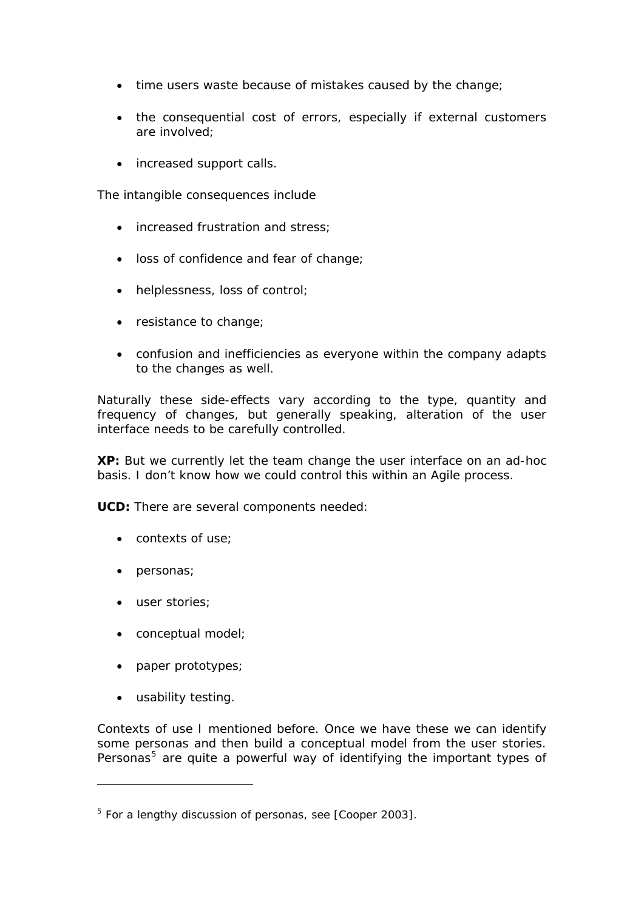- time users waste because of mistakes caused by the change;
- the consequential cost of errors, especially if external customers are involved;
- increased support calls.

The intangible consequences include

- increased frustration and stress:
- loss of confidence and fear of change;
- helplessness, loss of control;
- resistance to change;
- confusion and inefficiencies as everyone within the company adapts to the changes as well.

Naturally these side-effects vary according to the type, quantity and frequency of changes, but generally speaking, alteration of the user interface needs to be carefully controlled.

**XP:** But we currently let the team change the user interface on an ad-hoc basis. I don't know how we could control this within an Agile process.

**UCD:** There are several components needed:

- contexts of use;
- personas;
- user stories;
- conceptual model;
- paper prototypes;
- usability testing.

-

Contexts of use I mentioned before. Once we have these we can identify some personas and then build a conceptual model from the user stories. Personas<sup>[5](#page-4-0)</sup> are quite a powerful way of identifying the important types of

<span id="page-4-0"></span><sup>&</sup>lt;sup>5</sup> For a lengthy discussion of personas, see [Cooper 2003].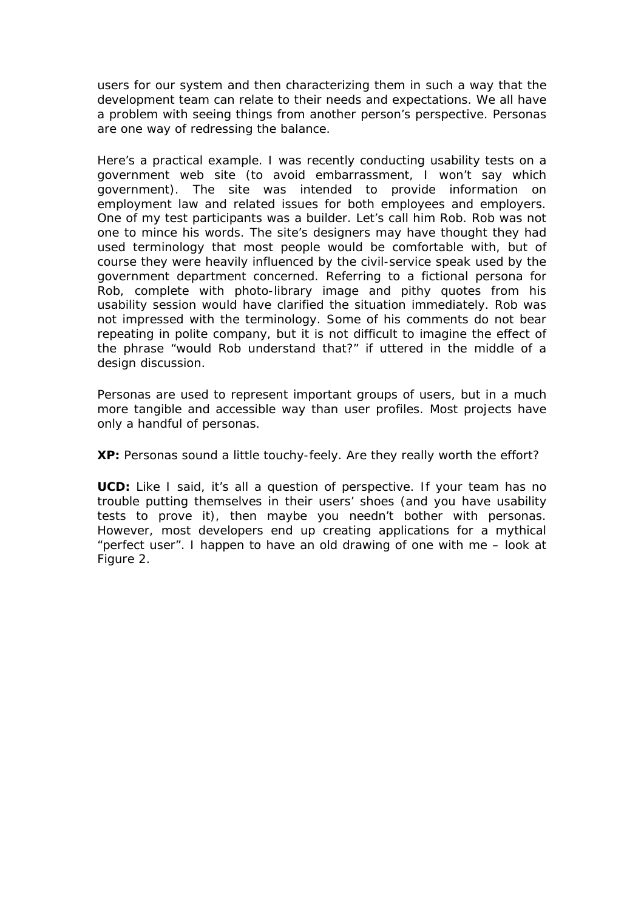users for our system and then characterizing them in such a way that the development team can relate to their needs and expectations. We all have a problem with seeing things from another person's perspective. Personas are one way of redressing the balance.

Here's a practical example. I was recently conducting usability tests on a government web site (to avoid embarrassment, I won't say which government). The site was intended to provide information on employment law and related issues for both employees and employers. One of my test participants was a builder. Let's call him Rob. Rob was not one to mince his words. The site's designers may have thought they had used terminology that most people would be comfortable with, but of course they were heavily influenced by the civil-service speak used by the government department concerned. Referring to a fictional persona for Rob, complete with photo-library image and pithy quotes from his usability session would have clarified the situation immediately. Rob was not impressed with the terminology. Some of his comments do not bear repeating in polite company, but it is not difficult to imagine the effect of the phrase "would Rob understand that?" if uttered in the middle of a design discussion.

Personas are used to represent important groups of users, but in a much more tangible and accessible way than user profiles. Most projects have only a handful of personas.

**XP:** Personas sound a little touchy-feely. Are they really worth the effort?

**UCD:** Like I said, it's all a question of perspective. If your team has no trouble putting themselves in their users' shoes (and you have usability tests to prove it), then maybe you needn't bother with personas. However, most developers end up creating applications for a mythical "perfect user". I happen to have an old drawing of one with me – look at [Figure 2](#page-6-0).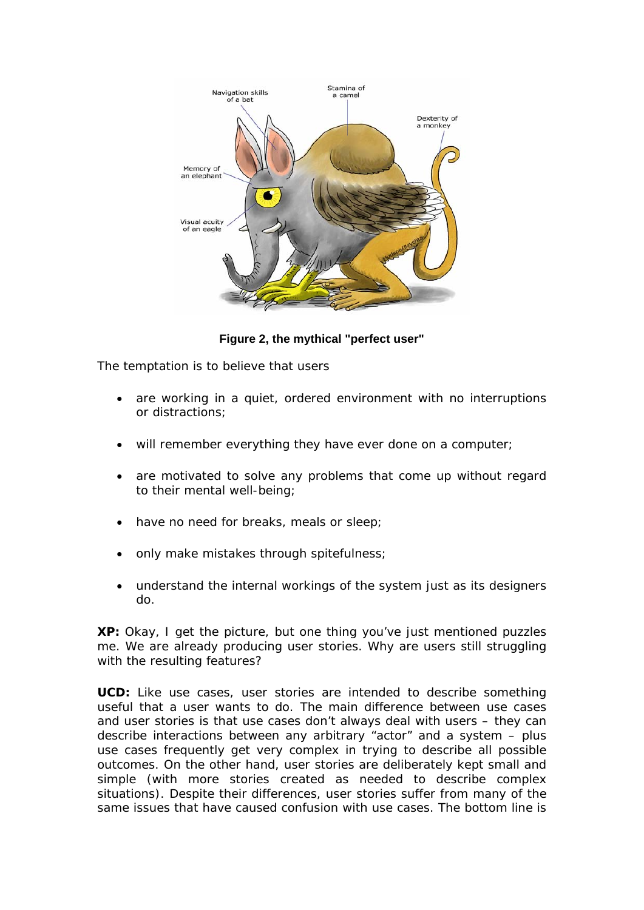

**Figure 2, the mythical "perfect user"** 

<span id="page-6-0"></span>The temptation is to believe that users

- are working in a quiet, ordered environment with no interruptions or distractions;
- will remember everything they have ever done on a computer;
- are motivated to solve any problems that come up without regard to their mental well-being;
- have no need for breaks, meals or sleep;
- only make mistakes through spitefulness;
- understand the internal workings of the system just as its designers do.

**XP:** Okay, I get the picture, but one thing you've just mentioned puzzles me. We are already producing user stories. Why are users still struggling with the resulting features?

**UCD:** Like use cases, user stories are intended to describe something useful that a user wants to do. The main difference between use cases and user stories is that use cases don't always deal with users – they can describe interactions between any arbitrary "actor" and a system – plus use cases frequently get very complex in trying to describe all possible outcomes. On the other hand, user stories are deliberately kept small and simple (with more stories created as needed to describe complex situations). Despite their differences, user stories suffer from many of the same issues that have caused confusion with use cases. The bottom line is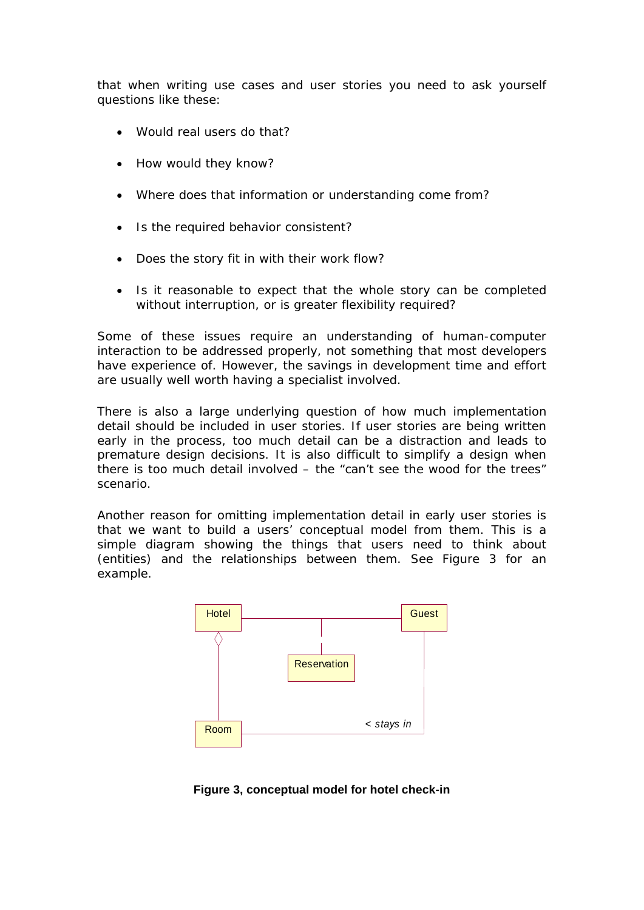that when writing use cases and user stories you need to ask yourself questions like these:

- Would real users do that?
- How would they know?
- Where does that information or understanding come from?
- Is the required behavior consistent?
- Does the story fit in with their work flow?
- Is it reasonable to expect that the whole story can be completed without interruption, or is greater flexibility required?

Some of these issues require an understanding of human-computer interaction to be addressed properly, not something that most developers have experience of. However, the savings in development time and effort are usually well worth having a specialist involved.

There is also a large underlying question of how much implementation detail should be included in user stories. If user stories are being written early in the process, too much detail can be a distraction and leads to premature design decisions. It is also difficult to simplify a design when there is too much detail involved – the "can't see the wood for the trees" scenario.

Another reason for omitting implementation detail in early user stories is that we want to build a users' *conceptual model* from them. This is a simple diagram showing the things that users need to think about (entities) and the relationships between them. See [Figure 3](#page-7-0) for an example.



<span id="page-7-0"></span>**Figure 3, conceptual model for hotel check-in**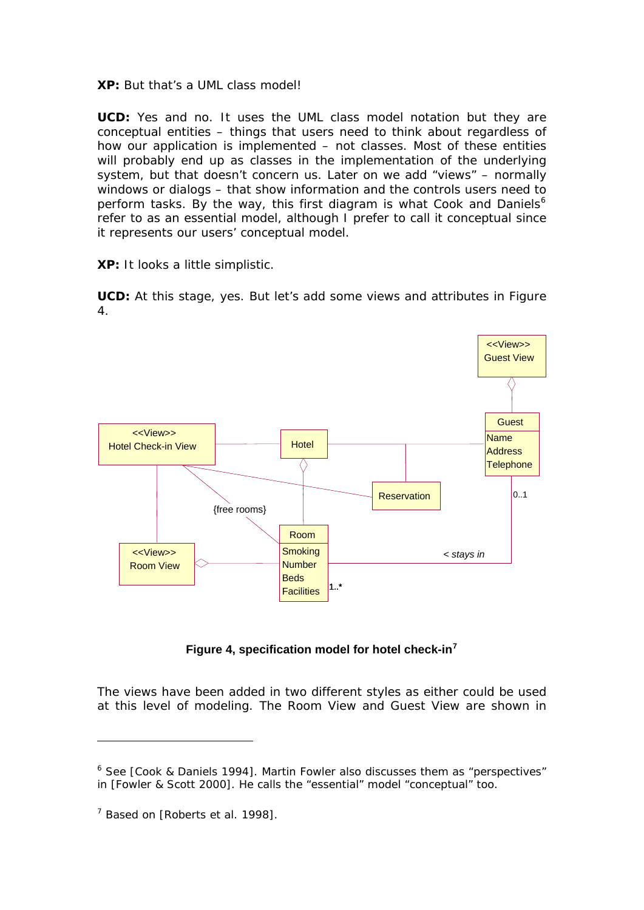**XP:** But that's a UML class model!

**UCD:** Yes and no. It uses the UML class model notation but they are conceptual entities – things that users need to think about regardless of how our application is implemented – not classes. Most of these entities will probably end up as classes in the implementation of the underlying system, but that doesn't concern us. Later on we add "views" – normally windows or dialogs – that show information and the controls users need to perform tasks. By the way, this first diagram is what Cook and Daniels<sup>[6](#page-8-0)</sup> refer to as an essential model, although I prefer to call it conceptual since it represents our users' conceptual model.

**XP:** It looks a little simplistic.

**UCD:** At this stage, yes. But let's add some views and attributes in [Figure](#page-8-1)  [4.](#page-8-1)



**Figure 4, specification model for hotel check-in[7](#page-8-2)**

<span id="page-8-1"></span>The views have been added in two different styles as either could be used at this level of modeling. The Room View and Guest View are shown in

<span id="page-8-0"></span><sup>&</sup>lt;sup>6</sup> See [Cook & Daniels 1994]. Martin Fowler also discusses them as "perspectives" in [Fowler & Scott 2000]. He calls the "essential" model "conceptual" too.

<span id="page-8-2"></span> $7$  Based on [Roberts et al. 1998].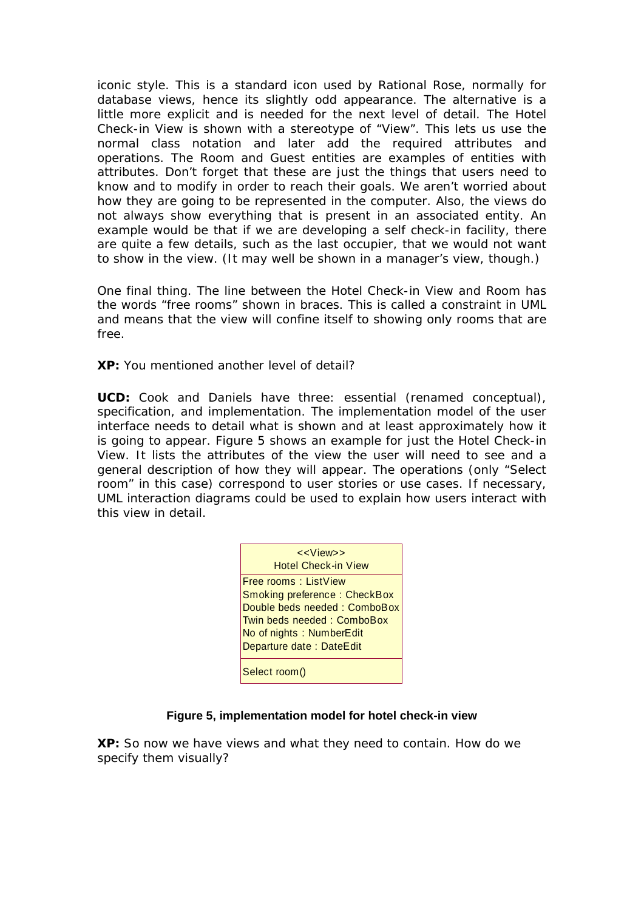iconic style. This is a standard icon used by Rational Rose, normally for database views, hence its slightly odd appearance. The alternative is a little more explicit and is needed for the next level of detail. The Hotel Check-in View is shown with a stereotype of "View". This lets us use the normal class notation and later add the required attributes and operations. The Room and Guest entities are examples of entities with attributes. Don't forget that these are just the things that users need to know and to modify in order to reach their goals. We aren't worried about how they are going to be represented in the computer. Also, the views do not always show everything that is present in an associated entity. An example would be that if we are developing a self check-in facility, there are quite a few details, such as the last occupier, that we would not want to show in the view. (It may well be shown in a manager's view, though.)

One final thing. The line between the Hotel Check-in View and Room has the words "free rooms" shown in braces. This is called a constraint in UML and means that the view will confine itself to showing only rooms that are free.

**XP:** You mentioned another level of detail?

**UCD:** Cook and Daniels have three: essential (renamed conceptual), specification, and implementation. The implementation model of the user interface needs to detail what is shown and at least approximately how it is going to appear. [Figure 5](#page-9-0) shows an example for just the Hotel Check-in View. It lists the attributes of the view the user will need to see and a general description of how they will appear. The operations (only "Select room" in this case) correspond to user stories or use cases. If necessary, UML interaction diagrams could be used to explain how users interact with this view in detail.

| < <view>&gt;<br/><b>Hotel Check-in View</b></view> |
|----------------------------------------------------|
| <b>Free rooms: ListView</b>                        |
| Smoking preference: CheckBox                       |
| Double beds needed: ComboBox                       |
| Twin beds needed: ComboBox                         |
| No of nights: NumberEdit                           |
| Departure date: DateEdit                           |
|                                                    |
| Select room()                                      |

## **Figure 5, implementation model for hotel check-in view**

<span id="page-9-0"></span>**XP:** So now we have views and what they need to contain. How do we specify them visually?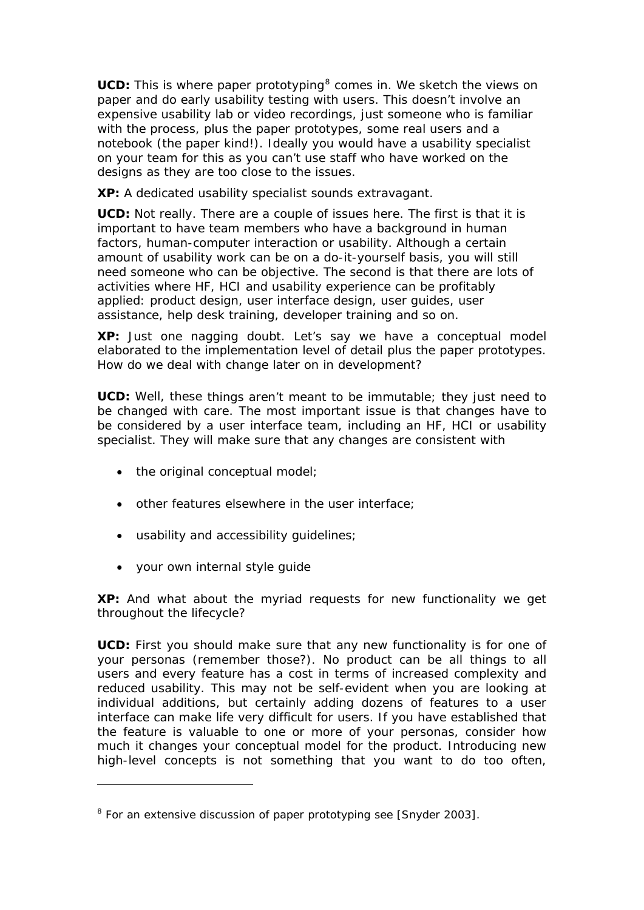UCD: This is where *paper prototyping*<sup>[8](#page-10-0)</sup> comes in. We sketch the views on paper and do early *usability testing* with users. This doesn't involve an expensive usability lab or video recordings, just someone who is familiar with the process, plus the paper prototypes, some real users and a notebook (the paper kind!). Ideally you would have a usability specialist on your team for this as you can't use staff who have worked on the designs as they are too close to the issues.

**XP:** A dedicated usability specialist sounds extravagant.

**UCD:** Not really. There are a couple of issues here. The first is that it is important to have team members who have a background in human factors, human-computer interaction or usability. Although a certain amount of usability work can be on a do-it-yourself basis, you will still need someone who can be objective. The second is that there are lots of activities where HF, HCI and usability experience can be profitably applied: product design, user interface design, user guides, user assistance, help desk training, developer training and so on.

**XP:** Just one nagging doubt. Let's say we have a conceptual model elaborated to the implementation level of detail plus the paper prototypes. How do we deal with change later on in development?

**UCD:** Well, these things aren't meant to be immutable; they just need to be changed with care. The most important issue is that changes have to be considered by a user interface team, including an HF, HCI or usability specialist. They will make sure that any changes are consistent with

- the original conceptual model;
- other features elsewhere in the user interface;
- usability and accessibility guidelines;
- your own internal style guide

-

**XP:** And what about the myriad requests for new functionality we get throughout the lifecycle?

**UCD:** First you should make sure that any new functionality is for one of your personas (remember those?). No product can be all things to all users and every feature has a cost in terms of increased complexity and reduced usability. This may not be self-evident when you are looking at individual additions, but certainly adding dozens of features to a user interface can make life very difficult for users. If you have established that the feature is valuable to one or more of your personas, consider how much it changes your conceptual model for the product. Introducing new high-level concepts is not something that you want to do too often,

<span id="page-10-0"></span><sup>&</sup>lt;sup>8</sup> For an extensive discussion of paper prototyping see [Snyder 2003].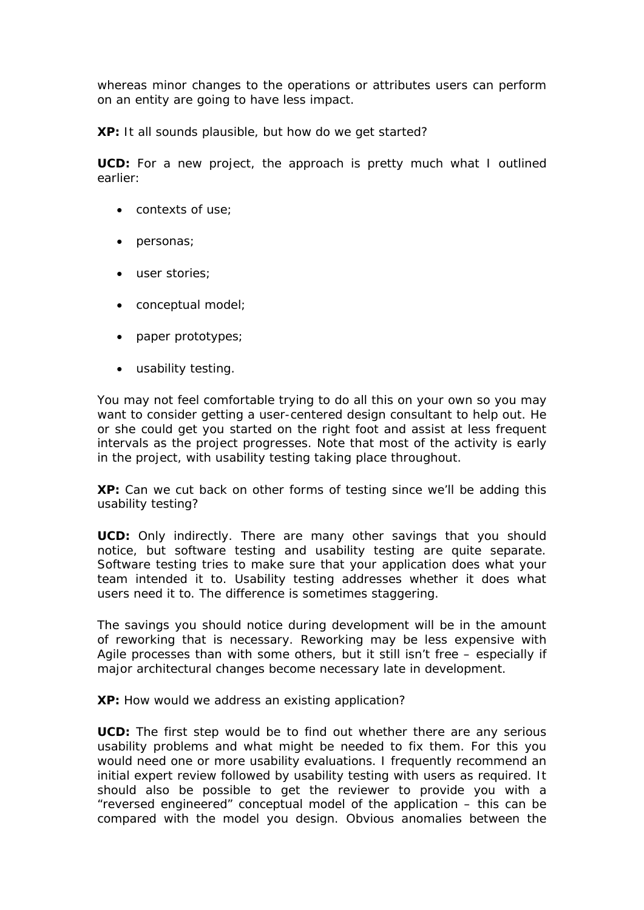whereas minor changes to the operations or attributes users can perform on an entity are going to have less impact.

**XP:** It all sounds plausible, but how do we get started?

**UCD:** For a new project, the approach is pretty much what I outlined earlier:

- contexts of use;
- personas;
- user stories;
- conceptual model;
- paper prototypes;
- usability testing.

You may not feel comfortable trying to do all this on your own so you may want to consider getting a user-centered design consultant to help out. He or she could get you started on the right foot and assist at less frequent intervals as the project progresses. Note that most of the activity is early in the project, with usability testing taking place throughout.

**XP:** Can we cut back on other forms of testing since we'll be adding this usability testing?

**UCD:** Only indirectly. There are many other savings that you should notice, but software testing and usability testing are quite separate. Software testing tries to make sure that your application does what *your team intended it to*. Usability testing addresses whether it does *what users need it to*. The difference is sometimes staggering.

The savings you should notice during development will be in the amount of reworking that is necessary. Reworking may be less expensive with Agile processes than with some others, but it still isn't free – especially if major architectural changes become necessary late in development.

**XP:** How would we address an existing application?

**UCD:** The first step would be to find out whether there are any serious usability problems and what might be needed to fix them. For this you would need one or more usability evaluations. I frequently recommend an initial expert review followed by usability testing with users as required. It should also be possible to get the reviewer to provide you with a "reversed engineered" conceptual model of the application – this can be compared with the model you design. Obvious anomalies between the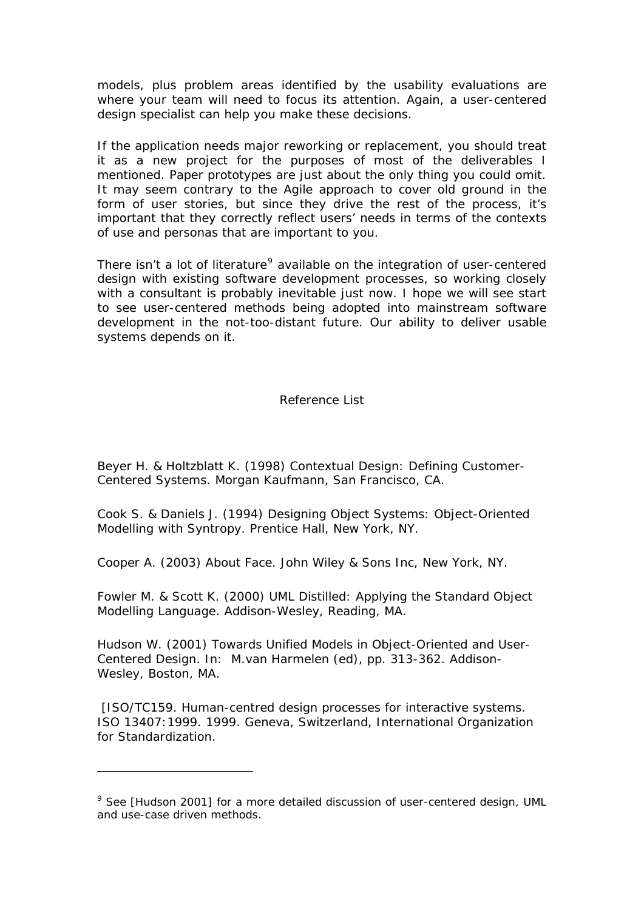models, plus problem areas identified by the usability evaluations are where your team will need to focus its attention. Again, a user-centered design specialist can help you make these decisions.

If the application needs major reworking or replacement, you should treat it as a new project for the purposes of most of the deliverables I mentioned. Paper prototypes are just about the only thing you could omit. It may seem contrary to the Agile approach to cover old ground in the form of user stories, but since they drive the rest of the process, it's important that they correctly reflect users' needs in terms of the contexts of use and personas that are important to you.

There isn't a lot of literature<sup>[9](#page-12-0)</sup> available on the integration of user-centered design with existing software development processes, so working closely with a consultant is probably inevitable just now. I hope we will see start to see user-centered methods being adopted into mainstream software development in the not-too-distant future. Our ability to deliver usable systems depends on it.

## Reference List

Beyer H. & Holtzblatt K. (1998) *Contextual Design: Defining Customer-Centered Systems*. Morgan Kaufmann, San Francisco, CA.

Cook S. & Daniels J. (1994) *Designing Object Systems: Object-Oriented Modelling with Syntropy*. Prentice Hall, New York, NY.

Cooper A. (2003) *About Face*. John Wiley & Sons Inc, New York, NY.

Fowler M. & Scott K. (2000) *UML Distilled: Applying the Standard Object Modelling Language*. Addison-Wesley, Reading, MA.

Hudson W. (2001) Towards Unified Models in Object-Oriented and User-Centered Design. In: M.van Harmelen (ed), pp. 313-362. Addison-Wesley, Boston, MA.

 [ISO/TC159. Human-centred design processes for interactive systems. ISO 13407:1999. 1999. Geneva, Switzerland, International Organization for Standardization.

<span id="page-12-0"></span><sup>&</sup>lt;sup>9</sup> See [Hudson 2001] for a more detailed discussion of user-centered design, UML and use-case driven methods.